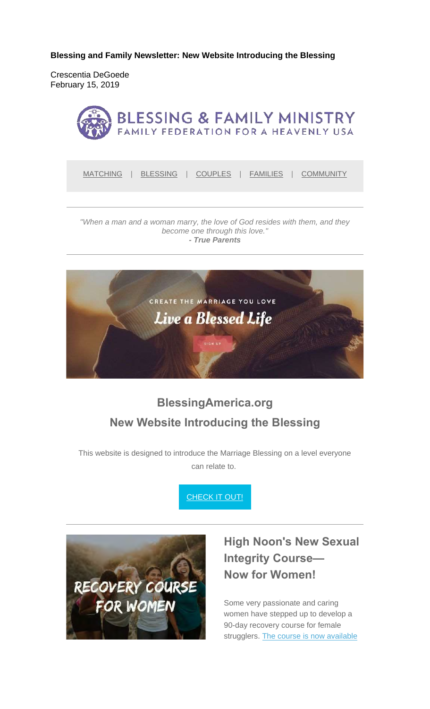**Blessing and Family Newsletter: New Website Introducing the Blessing** 

Crescentia DeGoede February 15, 2019



MATCHING | BLESSING | COUPLES | FAMILIES | COMMUNITY

*"When a man and a woman marry, the love of God resides with them, and they become one through this love." - True Parents*



# **BlessingAmerica.org New Website Introducing the Blessing**

This website is designed to introduce the Marriage Blessing on a level everyone can relate to.

**CHECK IT OUT!** 



### **High Noon's New Sexual Integrity Course— Now for Women!**

Some very passionate and caring women have stepped up to develop a 90-day recovery course for female strugglers. The course is now available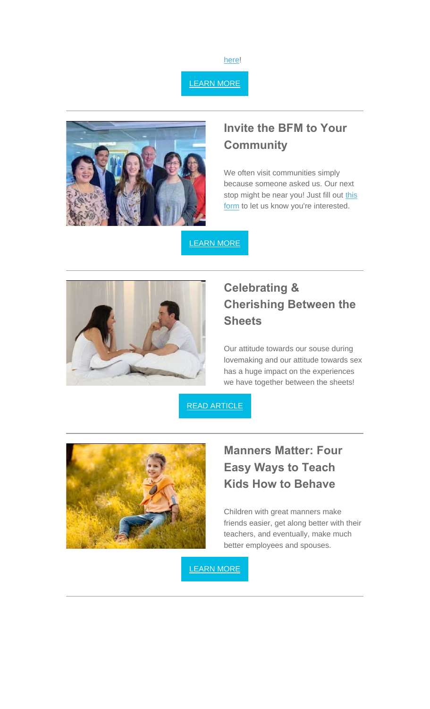

LEARN MORE



#### **Invite the BFM to Your Community**

We often visit communities simply because someone asked us. Our next stop might be near you! Just fill out this form to let us know you're interested.

LEARN MORE



### **Celebrating & Cherishing Between the Sheets**

Our attitude towards our souse during lovemaking and our attitude towards sex has a huge impact on the experiences we have together between the sheets!





### **Manners Matter: Four Easy Ways to Teach Kids How to Behave**

Children with great manners make friends easier, get along better with their teachers, and eventually, make much better employees and spouses.

LEARN MORE